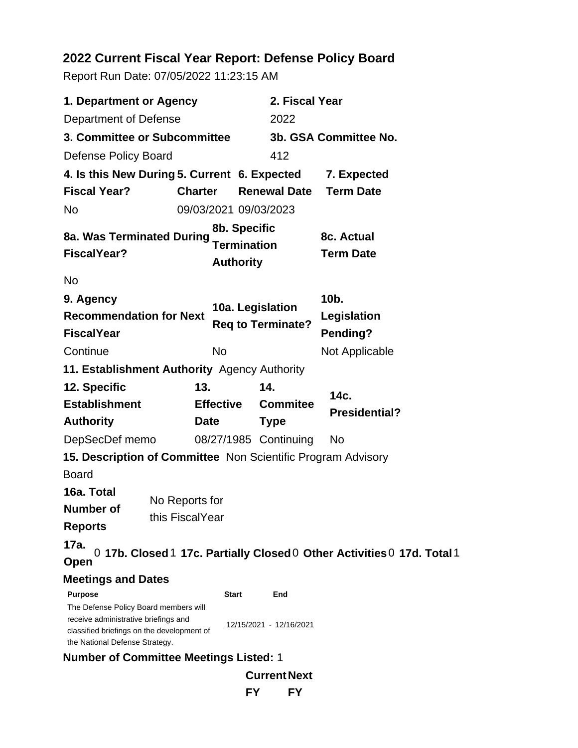# **2022 Current Fiscal Year Report: Defense Policy Board**

Report Run Date: 07/05/2022 11:23:15 AM

| 1. Department or Agency                                                                                                                                                         |                                                              |                                              | 2. Fiscal Year                                                          |  |
|---------------------------------------------------------------------------------------------------------------------------------------------------------------------------------|--------------------------------------------------------------|----------------------------------------------|-------------------------------------------------------------------------|--|
| Department of Defense                                                                                                                                                           |                                                              | 2022                                         |                                                                         |  |
| 3. Committee or Subcommittee                                                                                                                                                    |                                                              |                                              | 3b. GSA Committee No.                                                   |  |
| Defense Policy Board                                                                                                                                                            |                                                              | 412                                          |                                                                         |  |
|                                                                                                                                                                                 | 4. Is this New During 5. Current 6. Expected                 |                                              | 7. Expected                                                             |  |
| <b>Fiscal Year?</b>                                                                                                                                                             | <b>Charter</b>                                               | <b>Renewal Date</b>                          | <b>Term Date</b>                                                        |  |
| <b>No</b>                                                                                                                                                                       | 09/03/2021 09/03/2023                                        |                                              |                                                                         |  |
| 8b. Specific<br>8a. Was Terminated During<br><b>Termination</b><br><b>FiscalYear?</b><br><b>Authority</b>                                                                       |                                                              | 8c. Actual<br><b>Term Date</b>               |                                                                         |  |
| <b>No</b>                                                                                                                                                                       |                                                              |                                              |                                                                         |  |
| 9. Agency<br>10a. Legislation<br><b>Recommendation for Next</b><br><b>Req to Terminate?</b><br><b>FiscalYear</b>                                                                |                                                              | 10 <sub>b</sub> .<br>Legislation<br>Pending? |                                                                         |  |
| Continue                                                                                                                                                                        | No                                                           |                                              | Not Applicable                                                          |  |
|                                                                                                                                                                                 | 11. Establishment Authority Agency Authority                 |                                              |                                                                         |  |
| 12. Specific                                                                                                                                                                    | 13.                                                          | 14.                                          |                                                                         |  |
| <b>Establishment</b>                                                                                                                                                            | <b>Effective</b>                                             | <b>Commitee</b>                              | 14c.<br><b>Presidential?</b>                                            |  |
| <b>Authority</b>                                                                                                                                                                | Date                                                         | <b>Type</b>                                  |                                                                         |  |
| DepSecDef memo                                                                                                                                                                  |                                                              | 08/27/1985 Continuing                        | No                                                                      |  |
|                                                                                                                                                                                 | 15. Description of Committee Non Scientific Program Advisory |                                              |                                                                         |  |
| <b>Board</b>                                                                                                                                                                    |                                                              |                                              |                                                                         |  |
| 16a. Total<br>Number of<br><b>Reports</b>                                                                                                                                       | No Reports for<br>this FiscalYear                            |                                              |                                                                         |  |
| 17a.<br>Open                                                                                                                                                                    |                                                              |                                              | 0 17b. Closed 1 17c. Partially Closed 0 Other Activities 0 17d. Total 1 |  |
| <b>Meetings and Dates</b>                                                                                                                                                       |                                                              |                                              |                                                                         |  |
| <b>Purpose</b><br>The Defense Policy Board members will<br>receive administrative briefings and<br>classified briefings on the development of<br>the National Defense Strategy. | <b>Start</b>                                                 | End<br>12/15/2021 - 12/16/2021               |                                                                         |  |
|                                                                                                                                                                                 | <b>Number of Committee Meetings Listed: 1</b>                |                                              |                                                                         |  |
|                                                                                                                                                                                 |                                                              | <b>Current Next</b>                          |                                                                         |  |

**FY FY**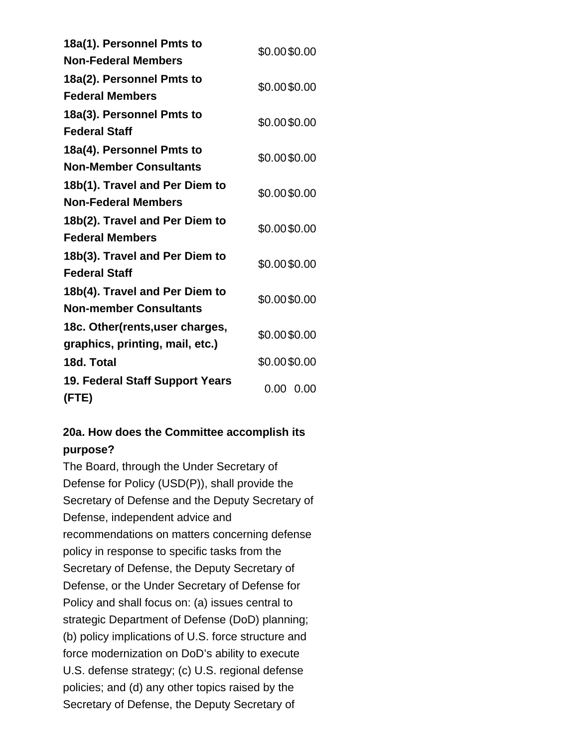| 18a(1). Personnel Pmts to       | \$0.00\$0.00 |  |
|---------------------------------|--------------|--|
| <b>Non-Federal Members</b>      |              |  |
| 18a(2). Personnel Pmts to       | \$0.00\$0.00 |  |
| <b>Federal Members</b>          |              |  |
| 18a(3). Personnel Pmts to       | \$0.00\$0.00 |  |
| <b>Federal Staff</b>            |              |  |
| 18a(4). Personnel Pmts to       | \$0.00\$0.00 |  |
| <b>Non-Member Consultants</b>   |              |  |
| 18b(1). Travel and Per Diem to  | \$0.00\$0.00 |  |
| <b>Non-Federal Members</b>      |              |  |
| 18b(2). Travel and Per Diem to  | \$0.00\$0.00 |  |
| <b>Federal Members</b>          |              |  |
| 18b(3). Travel and Per Diem to  | \$0.00\$0.00 |  |
| <b>Federal Staff</b>            |              |  |
| 18b(4). Travel and Per Diem to  | \$0.00\$0.00 |  |
| <b>Non-member Consultants</b>   |              |  |
| 18c. Other(rents, user charges, | \$0.00\$0.00 |  |
| graphics, printing, mail, etc.) |              |  |
| 18d. Total                      | \$0.00\$0.00 |  |
| 19. Federal Staff Support Years | 0.00<br>0.00 |  |
| (FTE)                           |              |  |

## **20a. How does the Committee accomplish its purpose?**

The Board, through the Under Secretary of Defense for Policy (USD(P)), shall provide the Secretary of Defense and the Deputy Secretary of Defense, independent advice and recommendations on matters concerning defense policy in response to specific tasks from the Secretary of Defense, the Deputy Secretary of Defense, or the Under Secretary of Defense for Policy and shall focus on: (a) issues central to strategic Department of Defense (DoD) planning; (b) policy implications of U.S. force structure and force modernization on DoD's ability to execute U.S. defense strategy; (c) U.S. regional defense policies; and (d) any other topics raised by the Secretary of Defense, the Deputy Secretary of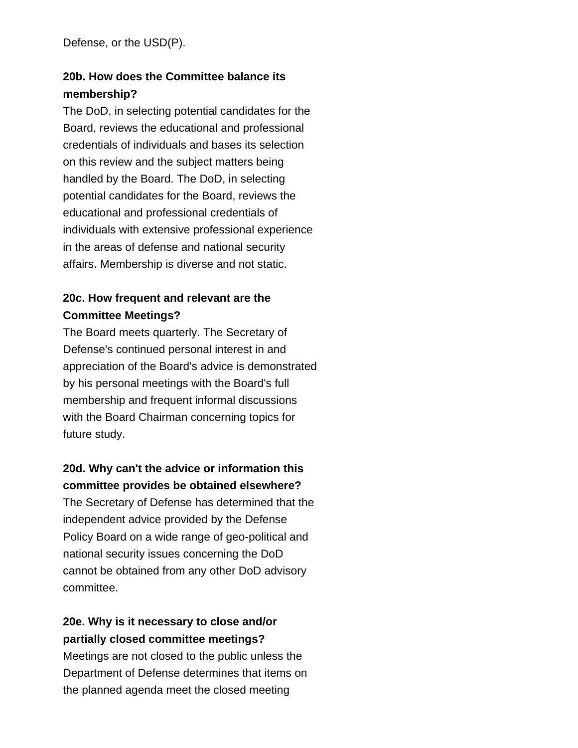Defense, or the USD(P).

# **20b. How does the Committee balance its membership?**

The DoD, in selecting potential candidates for the Board, reviews the educational and professional credentials of individuals and bases its selection on this review and the subject matters being handled by the Board. The DoD, in selecting potential candidates for the Board, reviews the educational and professional credentials of individuals with extensive professional experience in the areas of defense and national security affairs. Membership is diverse and not static.

# **20c. How frequent and relevant are the Committee Meetings?**

The Board meets quarterly. The Secretary of Defense's continued personal interest in and appreciation of the Board's advice is demonstrated by his personal meetings with the Board's full membership and frequent informal discussions with the Board Chairman concerning topics for future study.

# **20d. Why can't the advice or information this committee provides be obtained elsewhere?**

The Secretary of Defense has determined that the independent advice provided by the Defense Policy Board on a wide range of geo-political and national security issues concerning the DoD cannot be obtained from any other DoD advisory committee.

## **20e. Why is it necessary to close and/or partially closed committee meetings?**

Meetings are not closed to the public unless the Department of Defense determines that items on the planned agenda meet the closed meeting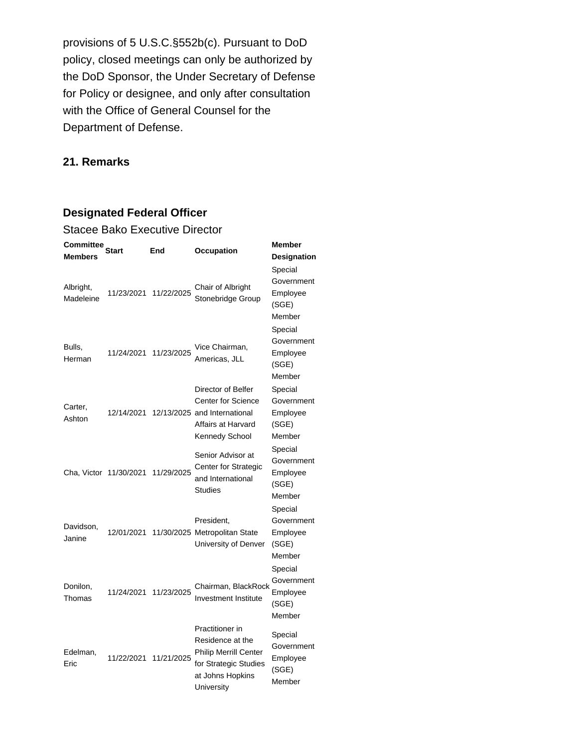provisions of 5 U.S.C.§552b(c). Pursuant to DoD policy, closed meetings can only be authorized by the DoD Sponsor, the Under Secretary of Defense for Policy or designee, and only after consultation with the Office of General Counsel for the Department of Defense.

#### **21. Remarks**

#### **Designated Federal Officer**

| <b>Stacee Bako Executive Director</b> |                        |            |                                                                                                                                |                                                      |
|---------------------------------------|------------------------|------------|--------------------------------------------------------------------------------------------------------------------------------|------------------------------------------------------|
| Committee<br>Start<br><b>Members</b>  |                        | End        | Occupation                                                                                                                     | <b>Member</b><br><b>Designation</b>                  |
| Albright,<br>Madeleine                | 11/23/2021             | 11/22/2025 | Chair of Albright<br>Stonebridge Group                                                                                         | Special<br>Government<br>Employee<br>(SGE)<br>Member |
| Bulls,<br>Herman                      | 11/24/2021             | 11/23/2025 | Vice Chairman,<br>Americas, JLL                                                                                                | Special<br>Government<br>Employee<br>(SGE)<br>Member |
| Carter,<br>Ashton                     | 12/14/2021             |            | Director of Belfer<br><b>Center for Science</b><br>12/13/2025 and International<br>Affairs at Harvard<br>Kennedy School        | Special<br>Government<br>Employee<br>(SGE)<br>Member |
|                                       | Cha, Victor 11/30/2021 | 11/29/2025 | Senior Advisor at<br><b>Center for Strategic</b><br>and International<br><b>Studies</b>                                        | Special<br>Government<br>Employee<br>(SGE)<br>Member |
| Davidson,<br>Janine                   | 12/01/2021             |            | President,<br>11/30/2025 Metropolitan State<br>University of Denver                                                            | Special<br>Government<br>Employee<br>(SGE)<br>Member |
| Donilon,<br>Thomas                    | 11/24/2021             | 11/23/2025 | Chairman, BlackRock<br><b>Investment Institute</b>                                                                             | Special<br>Government<br>Employee<br>(SGE)<br>Member |
| Edelman,<br>Eric                      | 11/22/2021             | 11/21/2025 | Practitioner in<br>Residence at the<br><b>Philip Merrill Center</b><br>for Strategic Studies<br>at Johns Hopkins<br>University | Special<br>Government<br>Employee<br>(SGE)<br>Member |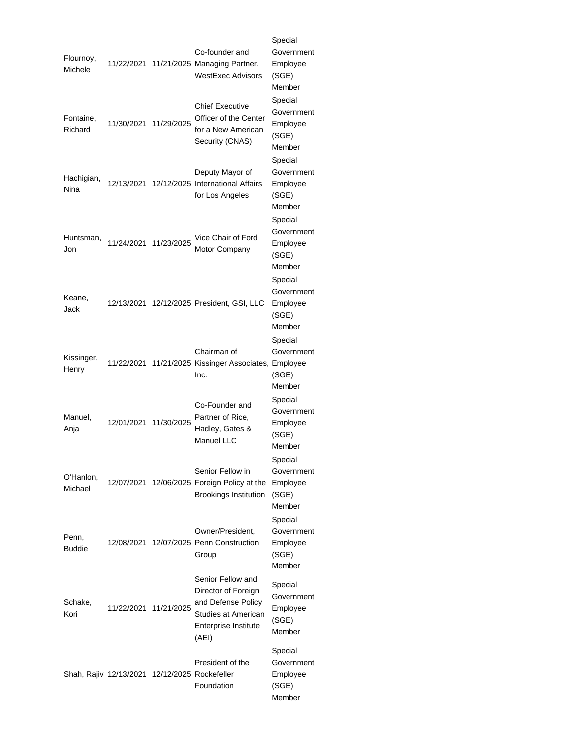|                      |                                               |            |                                                                                                                        | Special                                              |
|----------------------|-----------------------------------------------|------------|------------------------------------------------------------------------------------------------------------------------|------------------------------------------------------|
| Flournoy,<br>Michele | 11/22/2021                                    |            | Co-founder and<br>11/21/2025 Managing Partner,<br><b>WestExec Advisors</b>                                             | Government<br>Employee<br>(SGE)<br>Member            |
| Fontaine,<br>Richard | 11/30/2021                                    | 11/29/2025 | <b>Chief Executive</b><br>Officer of the Center<br>for a New American<br>Security (CNAS)                               | Special<br>Government<br>Employee<br>(SGE)<br>Member |
| Hachigian,<br>Nina   | 12/13/2021                                    |            | Deputy Mayor of<br>12/12/2025 International Affairs<br>for Los Angeles                                                 | Special<br>Government<br>Employee<br>(SGE)<br>Member |
| Huntsman,<br>Jon     | 11/24/2021                                    | 11/23/2025 | Vice Chair of Ford<br><b>Motor Company</b>                                                                             | Special<br>Government<br>Employee<br>(SGE)<br>Member |
| Keane,<br>Jack       | 12/13/2021                                    |            | 12/12/2025 President, GSI, LLC                                                                                         | Special<br>Government<br>Employee<br>(SGE)<br>Member |
| Kissinger,<br>Henry  | 11/22/2021                                    |            | Chairman of<br>11/21/2025 Kissinger Associates, Employee<br>Inc.                                                       | Special<br>Government<br>(SGE)<br>Member             |
| Manuel,<br>Anja      | 12/01/2021                                    | 11/30/2025 | Co-Founder and<br>Partner of Rice,<br>Hadley, Gates &<br><b>Manuel LLC</b>                                             | Special<br>Government<br>Employee<br>(SGE)<br>Member |
| O'Hanlon,<br>Michael |                                               |            | Senior Fellow in<br>12/07/2021 12/06/2025 Foreign Policy at the<br><b>Brookings Institution</b>                        | Special<br>Government<br>Employee<br>(SGE)<br>Member |
| Penn,<br>Buddie      | 12/08/2021                                    |            | Owner/President,<br>12/07/2025 Penn Construction<br>Group                                                              | Special<br>Government<br>Employee<br>(SGE)<br>Member |
| Schake,<br>Kori      | 11/22/2021                                    | 11/21/2025 | Senior Fellow and<br>Director of Foreign<br>and Defense Policy<br>Studies at American<br>Enterprise Institute<br>(AEI) | Special<br>Government<br>Employee<br>(SGE)<br>Member |
|                      | Shah, Rajiv 12/13/2021 12/12/2025 Rockefeller |            | President of the<br>Foundation                                                                                         | Special<br>Government<br>Employee<br>(SGE)<br>Member |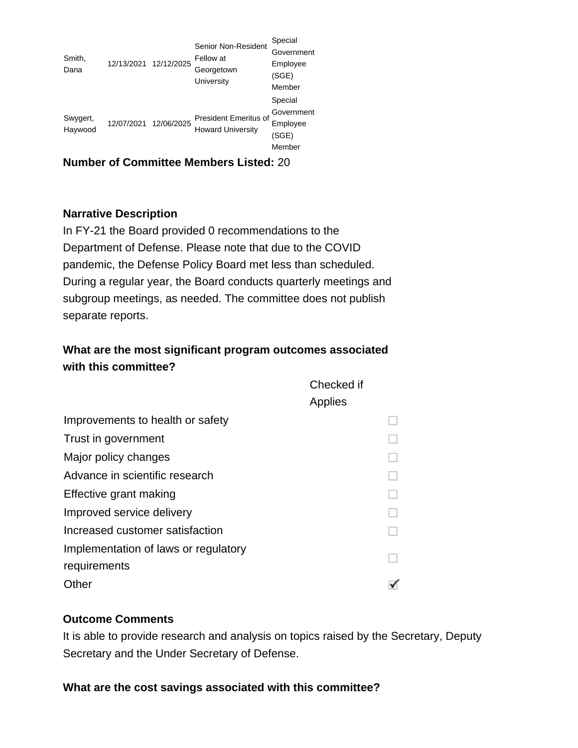| Smith,<br>Dana      | 12/13/2021 12/12/2025 | Senior Non-Resident<br>Fellow at<br>Georgetown<br>University | Special<br>Government<br>Employee<br>(SGE)<br>Member |
|---------------------|-----------------------|--------------------------------------------------------------|------------------------------------------------------|
| Swygert,<br>Haywood | 12/07/2021 12/06/2025 | <b>President Emeritus of</b><br><b>Howard University</b>     | Special<br>Government<br>Employee<br>(SGE)<br>Member |

**Number of Committee Members Listed:** 20

## **Narrative Description**

In FY-21 the Board provided 0 recommendations to the Department of Defense. Please note that due to the COVID pandemic, the Defense Policy Board met less than scheduled. During a regular year, the Board conducts quarterly meetings and subgroup meetings, as needed. The committee does not publish separate reports.

# **What are the most significant program outcomes associated with this committee?**

|                                      | Checked if |
|--------------------------------------|------------|
|                                      | Applies    |
| Improvements to health or safety     |            |
| Trust in government                  |            |
| Major policy changes                 |            |
| Advance in scientific research       |            |
| Effective grant making               |            |
| Improved service delivery            |            |
| Increased customer satisfaction      |            |
| Implementation of laws or regulatory |            |
| requirements                         |            |
| Other                                |            |

## **Outcome Comments**

It is able to provide research and analysis on topics raised by the Secretary, Deputy Secretary and the Under Secretary of Defense.

## **What are the cost savings associated with this committee?**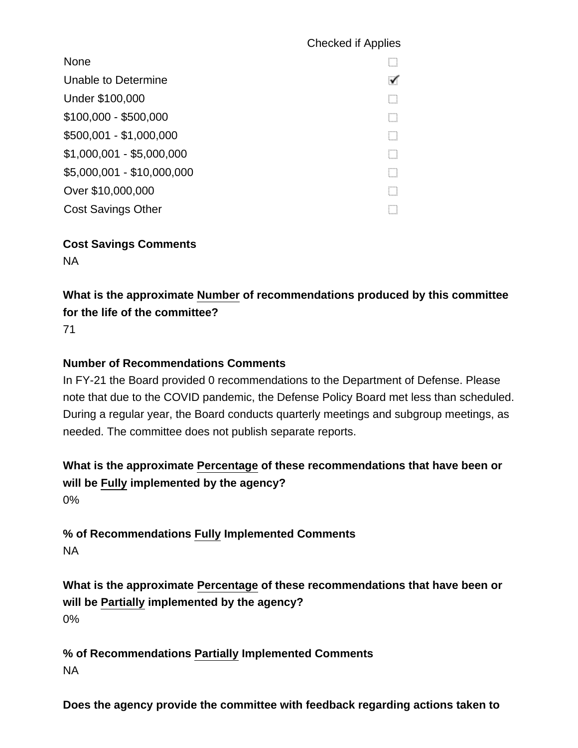## Checked if Applies

| <b>None</b>                |   |
|----------------------------|---|
| Unable to Determine        | ✓ |
| Under \$100,000            |   |
| $$100,000 - $500,000$      |   |
| \$500,001 - \$1,000,000    |   |
| $$1,000,001 - $5,000,000$  |   |
| \$5,000,001 - \$10,000,000 |   |
| Over \$10,000,000          |   |
| <b>Cost Savings Other</b>  |   |

**Cost Savings Comments** NA

**What is the approximate Number of recommendations produced by this committee for the life of the committee?**

71

#### **Number of Recommendations Comments**

In FY-21 the Board provided 0 recommendations to the Department of Defense. Please note that due to the COVID pandemic, the Defense Policy Board met less than scheduled. During a regular year, the Board conducts quarterly meetings and subgroup meetings, as needed. The committee does not publish separate reports.

**What is the approximate Percentage of these recommendations that have been or will be Fully implemented by the agency?** 0%

**% of Recommendations Fully Implemented Comments** NA

**What is the approximate Percentage of these recommendations that have been or will be Partially implemented by the agency?** 0%

**% of Recommendations Partially Implemented Comments** NA

**Does the agency provide the committee with feedback regarding actions taken to**